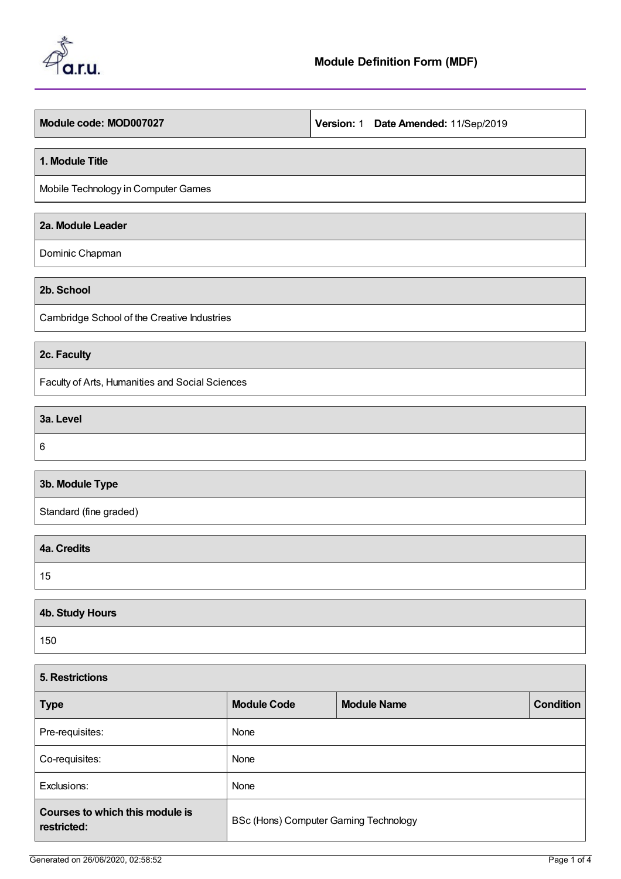

#### **1. Module Title**

Mobile Technology in Computer Games

## **2a. Module Leader**

Dominic Chapman

**2b. School**

Cambridge School of the Creative Industries

### **2c. Faculty**

Faculty of Arts, Humanities and Social Sciences

**3a. Level**

6

 $\mathsf{r}$ 

# **3b. Module Type**

Standard (fine graded)

| 4a. Credits |  |
|-------------|--|
| 15          |  |

| 4b. Study Hours |  |
|-----------------|--|
| 150             |  |

| <b>5. Restrictions</b>                         |                                       |                    |                  |  |
|------------------------------------------------|---------------------------------------|--------------------|------------------|--|
| <b>Type</b>                                    | <b>Module Code</b>                    | <b>Module Name</b> | <b>Condition</b> |  |
| Pre-requisites:                                | None                                  |                    |                  |  |
| Co-requisites:                                 | None                                  |                    |                  |  |
| Exclusions:                                    | None                                  |                    |                  |  |
| Courses to which this module is<br>restricted: | BSc (Hons) Computer Gaming Technology |                    |                  |  |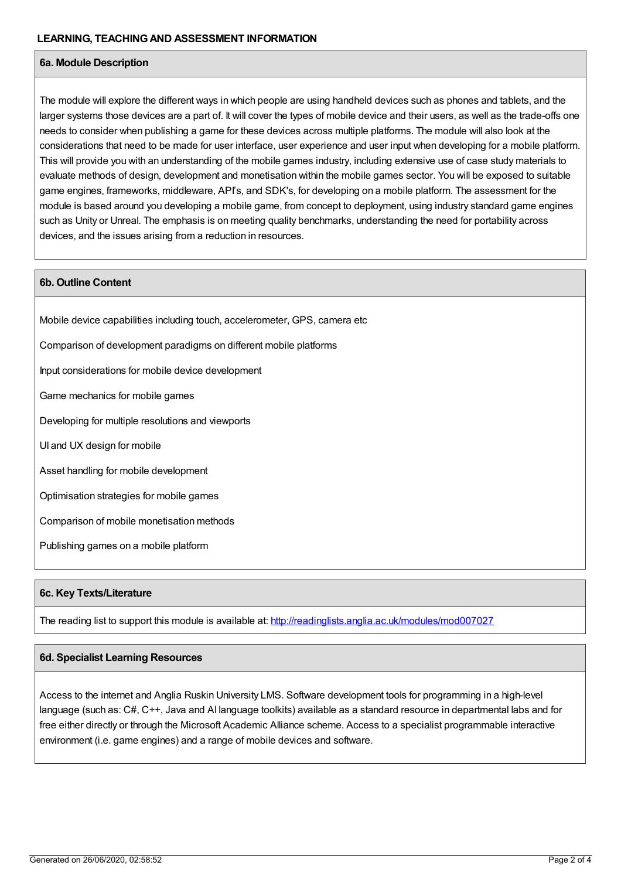### **6a. Module Description**

The module will explore the different ways in which people are using handheld devices such as phones and tablets, and the larger systems those devices are a part of. It will cover the types of mobile device and their users, as well as the trade-offs one needs to consider when publishing a game for these devices across multiple platforms. The module will also look at the considerations that need to be made for user interface, user experience and user input when developing for a mobile platform. This will provide you with an understanding of the mobile games industry, including extensive use of case study materials to evaluate methods of design, development and monetisation within the mobile games sector. You will be exposed to suitable game engines, frameworks, middleware, API's, and SDK's, for developing on a mobile platform. The assessment for the module is based around you developing a mobile game, from concept to deployment, using industry standard game engines such as Unity or Unreal. The emphasis is on meeting quality benchmarks, understanding the need for portability across devices, and the issues arising from a reduction in resources.

### **6b. Outline Content**

Mobile device capabilities including touch, accelerometer, GPS, camera etc

Comparison of development paradigms on different mobile platforms

Input considerations for mobile device development

Game mechanics for mobile games

Developing for multiple resolutions and viewports

UI and UX design for mobile

Asset handling for mobile development

Optimisation strategies for mobile games

Comparison of mobile monetisation methods

Publishing games on a mobile platform

### **6c. Key Texts/Literature**

The reading list to support this module is available at: <http://readinglists.anglia.ac.uk/modules/mod007027>

### **6d. Specialist Learning Resources**

Access to the internet and Anglia Ruskin University LMS. Software development tools for programming in a high-level language (such as: C#, C++, Java and AI language toolkits) available as a standard resource in departmental labs and for free either directly or through the Microsoft Academic Alliance scheme. Access to a specialist programmable interactive environment (i.e. game engines) and a range of mobile devices and software.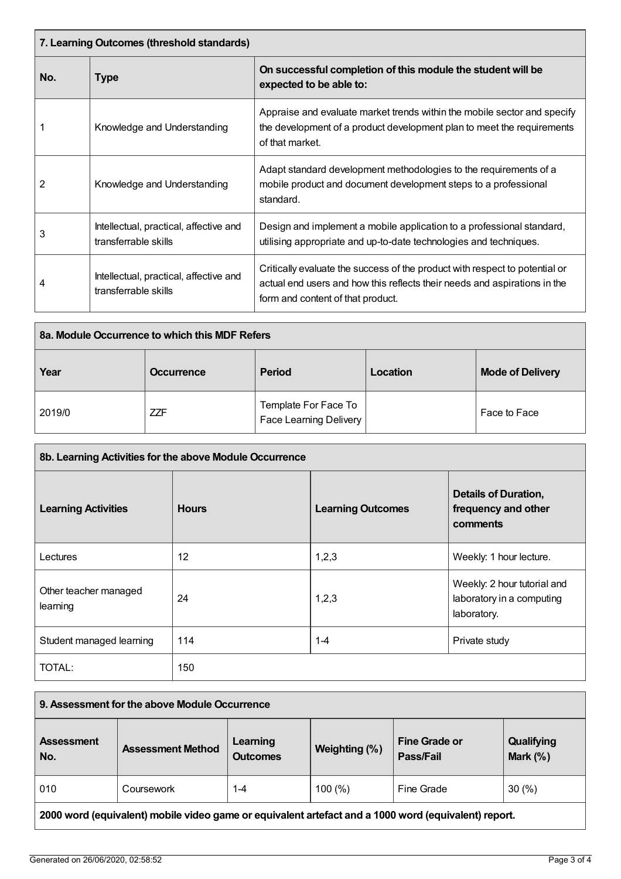| 7. Learning Outcomes (threshold standards) |                                                                |                                                                                                                                                                                               |  |
|--------------------------------------------|----------------------------------------------------------------|-----------------------------------------------------------------------------------------------------------------------------------------------------------------------------------------------|--|
| No.                                        | Type                                                           | On successful completion of this module the student will be<br>expected to be able to:                                                                                                        |  |
|                                            | Knowledge and Understanding                                    | Appraise and evaluate market trends within the mobile sector and specify<br>the development of a product development plan to meet the requirements<br>of that market.                         |  |
| 2                                          | Knowledge and Understanding                                    | Adapt standard development methodologies to the requirements of a<br>mobile product and document development steps to a professional<br>standard.                                             |  |
| 3                                          | Intellectual, practical, affective and<br>transferrable skills | Design and implement a mobile application to a professional standard,<br>utilising appropriate and up-to-date technologies and techniques.                                                    |  |
| 4                                          | Intellectual, practical, affective and<br>transferrable skills | Critically evaluate the success of the product with respect to potential or<br>actual end users and how this reflects their needs and aspirations in the<br>form and content of that product. |  |

| 8a. Module Occurrence to which this MDF Refers |                   |                                                       |          |                         |
|------------------------------------------------|-------------------|-------------------------------------------------------|----------|-------------------------|
| Year                                           | <b>Occurrence</b> | <b>Period</b>                                         | Location | <b>Mode of Delivery</b> |
| 2019/0                                         | <b>ZZF</b>        | Template For Face To<br><b>Face Learning Delivery</b> |          | Face to Face            |

| 8b. Learning Activities for the above Module Occurrence |              |                          |                                                                         |
|---------------------------------------------------------|--------------|--------------------------|-------------------------------------------------------------------------|
| <b>Learning Activities</b>                              | <b>Hours</b> | <b>Learning Outcomes</b> | <b>Details of Duration,</b><br>frequency and other<br>comments          |
| Lectures                                                | 12           | 1,2,3                    | Weekly: 1 hour lecture.                                                 |
| Other teacher managed<br>learning                       | 24           | 1,2,3                    | Weekly: 2 hour tutorial and<br>laboratory in a computing<br>laboratory. |
| Student managed learning                                | 114          | $1 - 4$                  | Private study                                                           |
| TOTAL:                                                  | 150          |                          |                                                                         |

| 9. Assessment for the above Module Occurrence                                                        |                          |                             |               |                                   |                          |
|------------------------------------------------------------------------------------------------------|--------------------------|-----------------------------|---------------|-----------------------------------|--------------------------|
| <b>Assessment</b><br>No.                                                                             | <b>Assessment Method</b> | Learning<br><b>Outcomes</b> | Weighting (%) | <b>Fine Grade or</b><br>Pass/Fail | Qualifying<br>Mark $(%)$ |
| 010                                                                                                  | Coursework               | $1 - 4$                     | 100(%)        | Fine Grade                        | 30(%)                    |
| 2000 word (equivalent) mobile video game or equivalent artefact and a 1000 word (equivalent) report. |                          |                             |               |                                   |                          |